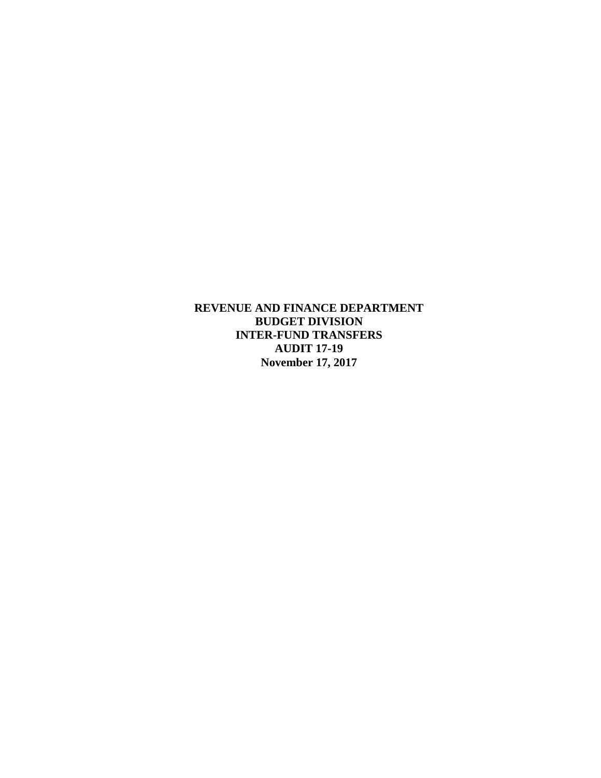**REVENUE AND FINANCE DEPARTMENT BUDGET DIVISION INTER-FUND TRANSFERS AUDIT 17-19 November 17, 2017**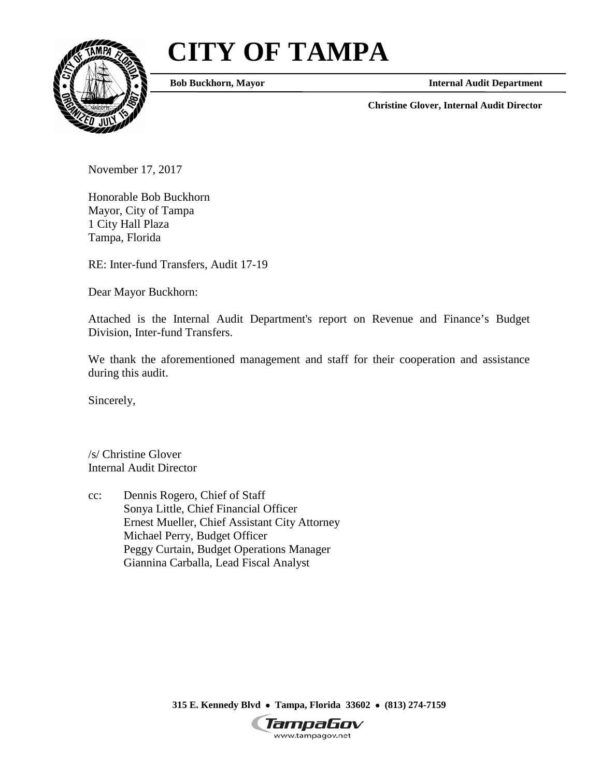# **CITY OF TAMPA**



**Bob Buckhorn, Mayor**

**Internal Audit Department**

**Christine Glover, Internal Audit Director**

November 17, 2017

Honorable Bob Buckhorn Mayor, City of Tampa 1 City Hall Plaza Tampa, Florida

RE: Inter-fund Transfers, Audit 17-19

Dear Mayor Buckhorn:

Attached is the Internal Audit Department's report on Revenue and Finance's Budget Division, Inter-fund Transfers.

We thank the aforementioned management and staff for their cooperation and assistance during this audit.

Sincerely,

/s/ Christine Glover Internal Audit Director

cc: Dennis Rogero, Chief of Staff Sonya Little, Chief Financial Officer Ernest Mueller, Chief Assistant City Attorney Michael Perry, Budget Officer Peggy Curtain, Budget Operations Manager Giannina Carballa, Lead Fiscal Analyst

**315 E. Kennedy Blvd** • **Tampa, Florida 33602** • **(813) 274-7159**

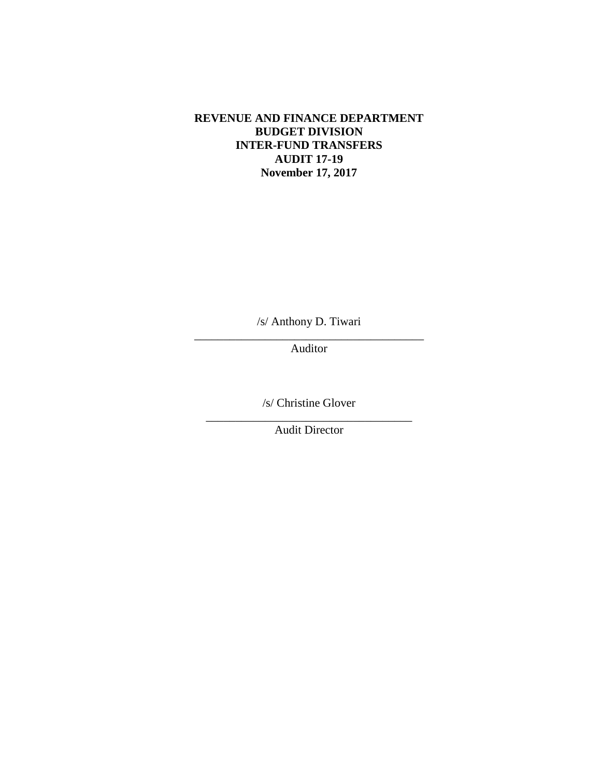# **REVENUE AND FINANCE DEPARTMENT BUDGET DIVISION INTER-FUND TRANSFERS AUDIT 17-19 November 17, 2017**

/s/ Anthony D. Tiwari

\_\_\_\_\_\_\_\_\_\_\_\_\_\_\_\_\_\_\_\_\_\_\_\_\_\_\_\_\_\_\_\_\_\_\_\_\_\_\_ Auditor

/s/ Christine Glover

\_\_\_\_\_\_\_\_\_\_\_\_\_\_\_\_\_\_\_\_\_\_\_\_\_\_\_\_\_\_\_\_\_\_\_ Audit Director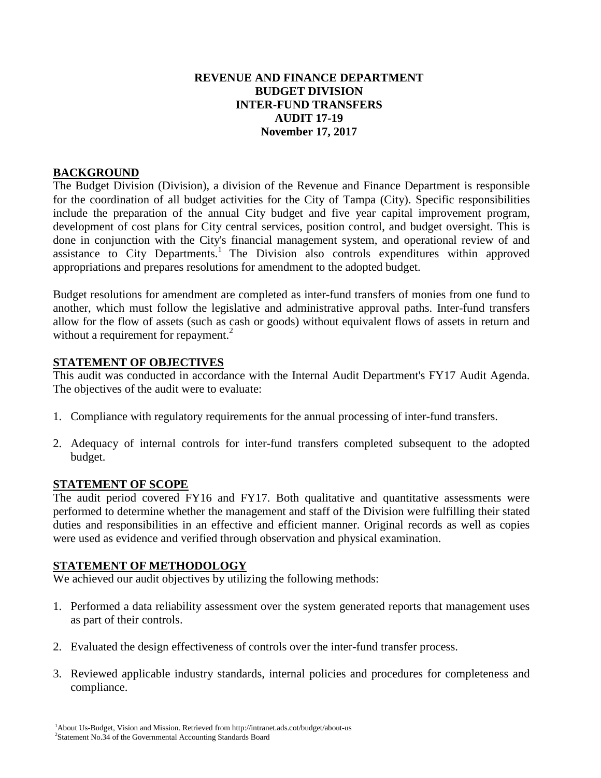# **REVENUE AND FINANCE DEPARTMENT BUDGET DIVISION INTER-FUND TRANSFERS AUDIT 17-19 November 17, 2017**

# **BACKGROUND**

The Budget Division (Division), a division of the Revenue and Finance Department is responsible for the coordination of all budget activities for the City of Tampa (City). Specific responsibilities include the preparation of the annual City budget and five year capital improvement program, development of cost plans for City central services, position control, and budget oversight. This is done in conjunction with the City's financial management system, and operational review of and assistance to City Departments.<sup>1</sup> The Division also controls expenditures within approved appropriations and prepares resolutions for amendment to the adopted budget.

Budget resolutions for amendment are completed as inter-fund transfers of monies from one fund to another, which must follow the legislative and administrative approval paths. Inter-fund transfers allow for the flow of assets (such as cash or goods) without equivalent flows of assets in return and without a requirement for repayment.<sup>2</sup>

#### **STATEMENT OF OBJECTIVES**

This audit was conducted in accordance with the Internal Audit Department's FY17 Audit Agenda. The objectives of the audit were to evaluate:

- 1. Compliance with regulatory requirements for the annual processing of inter-fund transfers.
- 2. Adequacy of internal controls for inter-fund transfers completed subsequent to the adopted budget.

#### **STATEMENT OF SCOPE**

The audit period covered FY16 and FY17. Both qualitative and quantitative assessments were performed to determine whether the management and staff of the Division were fulfilling their stated duties and responsibilities in an effective and efficient manner. Original records as well as copies were used as evidence and verified through observation and physical examination.

#### **STATEMENT OF METHODOLOGY**

We achieved our audit objectives by utilizing the following methods:

- 1. Performed a data reliability assessment over the system generated reports that management uses as part of their controls.
- 2. Evaluated the design effectiveness of controls over the inter-fund transfer process.
- 3. Reviewed applicable industry standards, internal policies and procedures for completeness and compliance.